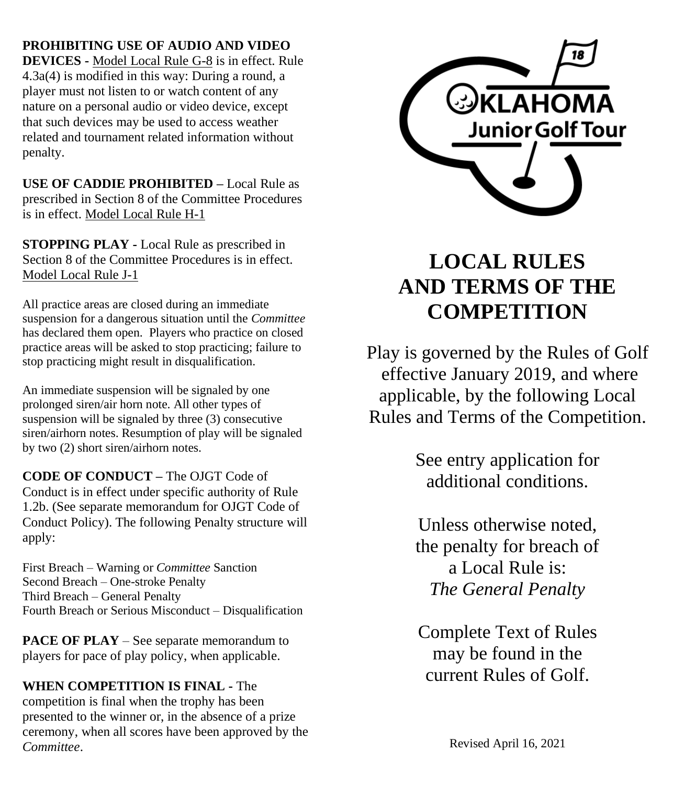**PROHIBITING USE OF AUDIO AND VIDEO** 

**DEVICES -** Model Local Rule G-8 is in effect. Rule 4.3a(4) is modified in this way: During a round, a player must not listen to or watch content of any nature on a personal audio or video device, except that such devices may be used to access weather related and tournament related information without penalty.

**USE OF CADDIE PROHIBITED –** Local Rule as prescribed in Section 8 of the Committee Procedures is in effect. Model Local Rule H-1

**STOPPING PLAY -** Local Rule as prescribed in Section 8 of the Committee Procedures is in effect. Model Local Rule J-1

All practice areas are closed during an immediate suspension for a dangerous situation until the *Committee* has declared them open. Players who practice on closed practice areas will be asked to stop practicing; failure to stop practicing might result in disqualification.

An immediate suspension will be signaled by one prolonged siren/air horn note. All other types of suspension will be signaled by three (3) consecutive siren/airhorn notes. Resumption of play will be signaled by two (2) short siren/airhorn notes.

**CODE OF CONDUCT –** The OJGT Code of Conduct is in effect under specific authority of Rule 1.2b. (See separate memorandum for OJGT Code of Conduct Policy). The following Penalty structure will apply:

First Breach – Warning or *Committee* Sanction Second Breach – One-stroke Penalty Third Breach – General Penalty Fourth Breach or Serious Misconduct – Disqualification

**PACE OF PLAY** – See separate memorandum to players for pace of play policy, when applicable.

### **WHEN COMPETITION IS FINAL -** The

competition is final when the trophy has been presented to the winner or, in the absence of a prize ceremony, when all scores have been approved by the *Committee*.



# **LOCAL RULES AND TERMS OF THE COMPETITION**

Play is governed by the Rules of Golf effective January 2019, and where applicable, by the following Local Rules and Terms of the Competition.

> See entry application for additional conditions.

> Unless otherwise noted, the penalty for breach of a Local Rule is: *The General Penalty*

Complete Text of Rules may be found in the current Rules of Golf.